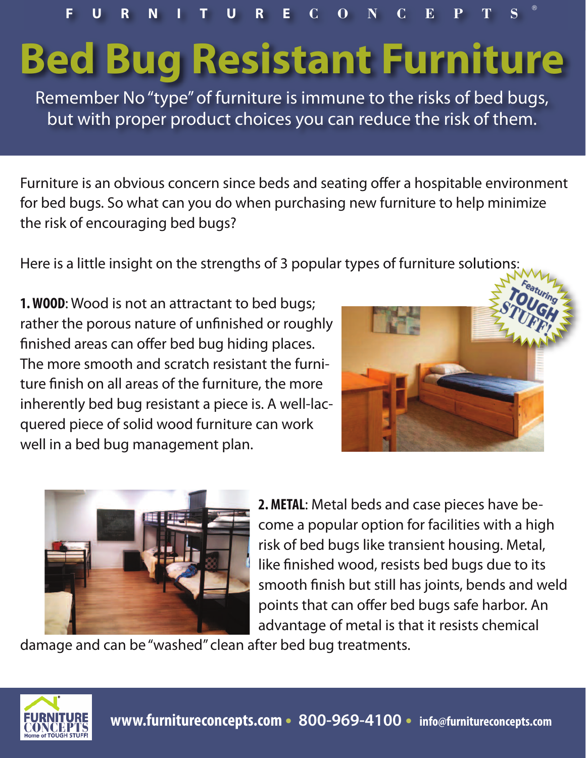**F U R N I T U R E C O N C E P T S** ®

## **Bed Bug Resistant Furniture**

Remember No"type"of furniture is immune to the risks of bed bugs, but with proper product choices you can reduce the risk of them.

Furniture is an obvious concern since beds and seating offer a hospitable environment for bed bugs. So what can you do when purchasing new furniture to help minimize the risk of encouraging bed bugs?

Here is a little insight on the strengths of 3 popular types of furniture solutions:

**1.WOOD**: Wood is not an attractant to bed bugs; rather the porous nature of unfinished or roughly finished areas can offer bed bug hiding places. The more smooth and scratch resistant the furniture finish on all areas of the furniture, the more inherently bed bug resistant a piece is. A well-lacquered piece of solid wood furniture can work well in a bed bug management plan.





**2.METAL**: Metal beds and case pieces have become a popular option for facilities with a high risk of bed bugs like transient housing. Metal, like finished wood, resists bed bugs due to its smooth finish but still has joints, bends and weld points that can offer bed bugs safe harbor. An advantage of metal is that it resists chemical

damage and can be "washed" clean after bed bug treatments.